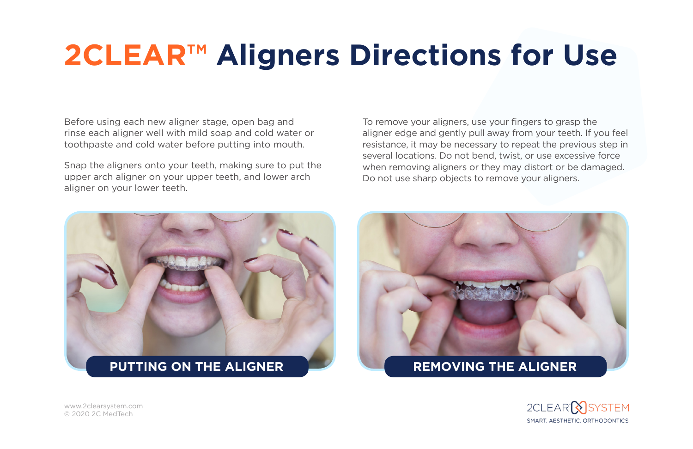## **2CLEAR™ Aligners Directions for Use**

Before using each new aligner stage, open bag and rinse each aligner well with mild soap and cold water or toothpaste and cold water before putting into mouth.

Snap the aligners onto your teeth, making sure to put the upper arch aligner on your upper teeth, and lower arch aligner on your lower teeth.

To remove your aligners, use your fingers to grasp the aligner edge and gently pull away from your teeth. If you feel resistance, it may be necessary to repeat the previous step in several locations. Do not bend, twist, or use excessive force when removing aligners or they may distort or be damaged. Do not use sharp objects to remove your aligners.





[www.2clearsystem.com](http://www.2clearsystem.com) © 2020 2C MedTech